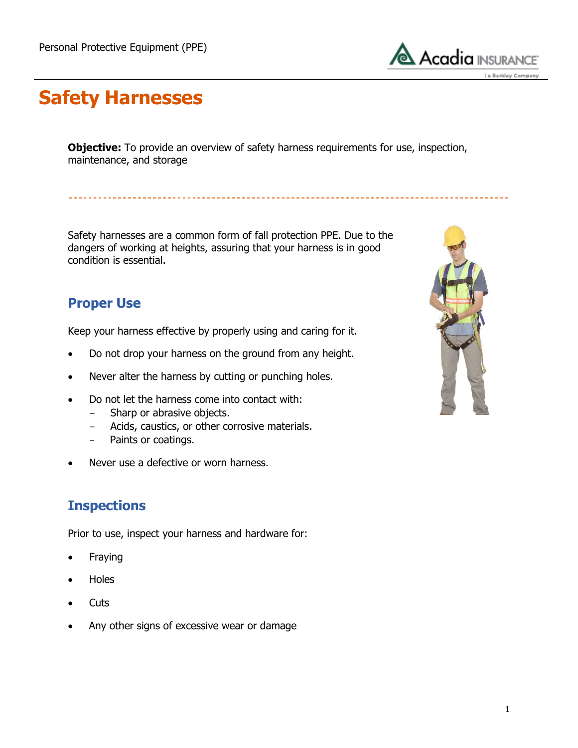

## **Safety Harnesses**

**Objective:** To provide an overview of safety harness requirements for use, inspection, maintenance, and storage

Safety harnesses are a common form of fall protection PPE. Due to the dangers of working at heights, assuring that your harness is in good condition is essential.

### **Proper Use**

Keep your harness effective by properly using and caring for it.

- Do not drop your harness on the ground from any height.
- Never alter the harness by cutting or punching holes.
- Do not let the harness come into contact with:
	- Sharp or abrasive objects.
	- Acids, caustics, or other corrosive materials.
	- Paints or coatings.
- Never use a defective or worn harness.

#### **Inspections**

Prior to use, inspect your harness and hardware for:

- Fraying
- Holes
- **Cuts**
- Any other signs of excessive wear or damage

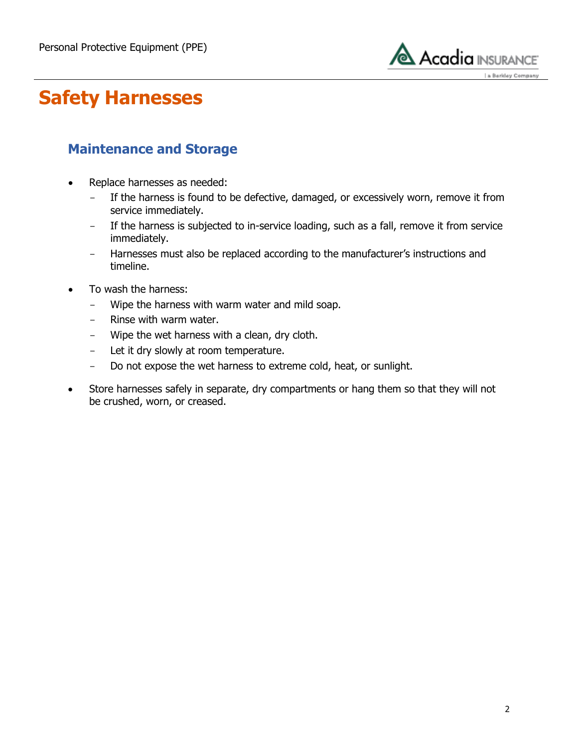

## **Safety Harnesses**

#### **Maintenance and Storage**

- Replace harnesses as needed:
	- If the harness is found to be defective, damaged, or excessively worn, remove it from service immediately.
	- If the harness is subjected to in-service loading, such as a fall, remove it from service immediately.
	- Harnesses must also be replaced according to the manufacturer's instructions and timeline.
- To wash the harness:
	- Wipe the harness with warm water and mild soap.
	- Rinse with warm water.
	- Wipe the wet harness with a clean, dry cloth.
	- Let it dry slowly at room temperature.
	- Do not expose the wet harness to extreme cold, heat, or sunlight.
- Store harnesses safely in separate, dry compartments or hang them so that they will not be crushed, worn, or creased.